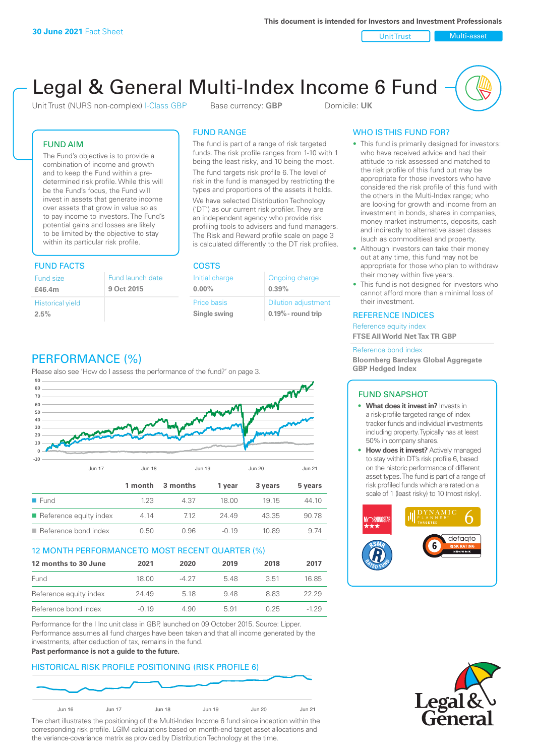Unit Trust Nulti-asset

# Legal & General Multi-Index Income 6 Fund

Unit Trust (NURS non-complex) I-Class GBP Base currency: **GBP** Domicile: UK

The fund is part of a range of risk targeted funds. The risk profile ranges from 1-10 with 1 being the least risky, and 10 being the most. The fund targets risk profile 6. The level of risk in the fund is managed by restricting the types and proportions of the assets it holds. We have selected Distribution Technology ('DT') as our current risk profiler. They are an independent agency who provide risk profiling tools to advisers and fund managers. The Risk and Reward profile scale on page 3 is calculated differently to the DT risk profiles.

> Ongoing charge **0.39%**

Dilution adjustment **0.19% - round trip**

FUND RANGE

Initial charge **0.00%**

Price basis **Single swing**

## FUND AIM

The Fund's objective is to provide a combination of income and growth and to keep the Fund within a predetermined risk profile. While this will be the Fund's focus, the Fund will invest in assets that generate income over assets that grow in value so as to pay income to investors. The Fund's potential gains and losses are likely to be limited by the objective to stay within its particular risk profile.

# FUND FACTS COSTS

| Fund size               | Fund launch date |
|-------------------------|------------------|
| £46.4m                  | 9 Oct 2015       |
| <b>Historical yield</b> |                  |
| 2.5%                    |                  |

# PERFORMANCE (%)

Please also see 'How do I assess the performance of the fund?' on page 3.



#### 12 MONTH PERFORMANCE TO MOST RECENT QUARTER (%)

| 12 months to 30 June   | 2021    | 2020  | 2019 | 2018 | 2017   |
|------------------------|---------|-------|------|------|--------|
| Fund                   | 18.00   | -4 27 | 548  | 3.51 | 16.85  |
| Reference equity index | 24.49   | 5 18  | 948  | 8 83 | 22.29  |
| Reference bond index   | $-0.19$ | 4.90  | 5.91 | 0.25 | $-129$ |

Performance for the I Inc unit class in GBP, launched on 09 October 2015. Source: Lipper. Performance assumes all fund charges have been taken and that all income generated by the investments, after deduction of tax, remains in the fund.

#### **Past performance is not a guide to the future.**

## HISTORICAL RISK PROFILE POSITIONING (RISK PROFILE 6)



The chart illustrates the positioning of the Multi-Index Income 6 fund since inception within the corresponding risk profile. LGIM calculations based on month-end target asset allocations and the variance-covariance matrix as provided by Distribution Technology at the time.

## WHO IS THIS FUND FOR?

- This fund is primarily designed for investors: who have received advice and had their attitude to risk assessed and matched to the risk profile of this fund but may be appropriate for those investors who have considered the risk profile of this fund with the others in the Multi-Index range; who are looking for growth and income from an investment in bonds, shares in companies, money market instruments, deposits, cash and indirectly to alternative asset classes (such as commodities) and property.
- Although investors can take their money out at any time, this fund may not be appropriate for those who plan to withdraw their money within five years.
- This fund is not designed for investors who cannot afford more than a minimal loss of their investment.

#### REFERENCE INDICES

Reference equity index **FTSE All World Net Tax TR GBP**

#### Reference bond index

**Bloomberg Barclays Global Aggregate GBP Hedged Index**

#### FUND SNAPSHOT

- **• What does it invest in?** Invests in a risk-profile targeted range of index tracker funds and individual investments including property. Typically has at least 50% in company shares.
- **• How does it invest?** Actively managed to stay within DT's risk profile 6, based on the historic performance of different asset types. The fund is part of a range of risk profiled funds which are rated on a scale of 1 (least risky) to 10 (most risky).



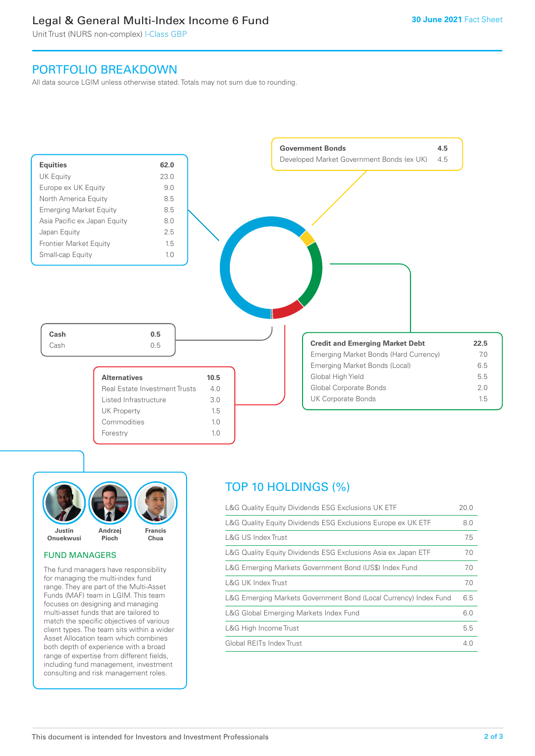# Legal & General Multi-Index Income 6 Fund

Unit Trust (NURS non-complex) I-Class GBP

# PORTFOLIO BREAKDOWN

All data source LGIM unless otherwise stated. Totals may not sum due to rounding.





## FUND MANAGERS

The fund managers have responsibility for managing the multi-index fund range. They are part of the Multi-Asset Funds (MAF) team in LGIM. This team focuses on designing and managing multi-asset funds that are tailored to match the specific objectives of various client types. The team sits within a wider Asset Allocation team which combines both depth of experience with a broad range of expertise from different fields, including fund management, investment consulting and risk management roles.

# TOP 10 HOLDINGS (%)

| L&G Quality Equity Dividends ESG Exclusions UK ETF               | 20.0 |
|------------------------------------------------------------------|------|
| L&G Quality Equity Dividends ESG Exclusions Europe ex UK ETF     | 8.0  |
| L&G US Index Trust                                               | 7.5  |
| L&G Quality Equity Dividends ESG Exclusions Asia ex Japan ETF    | 7.0  |
| L&G Emerging Markets Government Bond (US\$) Index Fund           | 7.0  |
| L&G UK Index Trust                                               | 7.0  |
| L&G Emerging Markets Government Bond (Local Currency) Index Fund | 6.5  |
| L&G Global Emerging Markets Index Fund                           | 6.0  |
| L&G High Income Trust                                            | 5.5  |
| Global REITs Index Trust                                         | 4 N  |